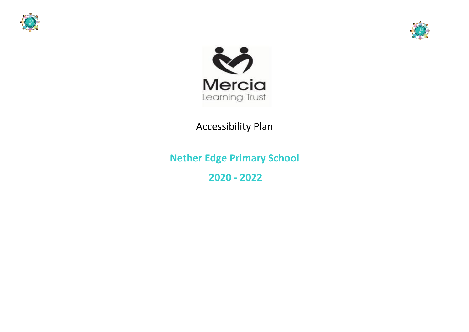





# Accessibility Plan

**Nether Edge Primary School 2020 - 2022**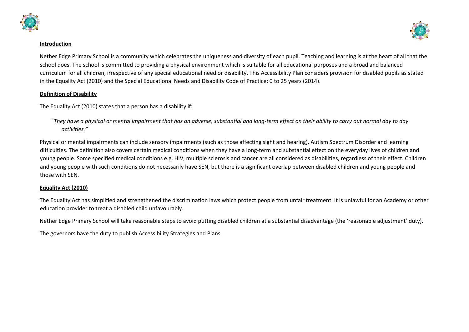



#### **Introduction**

Nether Edge Primary School is a community which celebrates the uniqueness and diversity of each pupil. Teaching and learning is at the heart of all that the school does. The school is committed to providing a physical environment which is suitable for all educational purposes and a broad and balanced curriculum for all children, irrespective of any special educational need or disability. This Accessibility Plan considers provision for disabled pupils as stated in the Equality Act (2010) and the Special Educational Needs and Disability Code of Practice: 0 to 25 years (2014).

### **Definition of Disability**

The Equality Act (2010) states that a person has a disability if:

"*They have a physical or mental impairment that has an adverse, substantial and long-term effect on their ability to carry out normal day to day activities."*

Physical or mental impairments can include sensory impairments (such as those affecting sight and hearing), Autism Spectrum Disorder and learning difficulties. The definition also covers certain medical conditions when they have a long-term and substantial effect on the everyday lives of children and young people. Some specified medical conditions e.g. HIV, multiple sclerosis and cancer are all considered as disabilities, regardless of their effect. Children and young people with such conditions do not necessarily have SEN, but there is a significant overlap between disabled children and young people and those with SEN.

# **Equality Act (2010)**

The Equality Act has simplified and strengthened the discrimination laws which protect people from unfair treatment. It is unlawful for an Academy or other education provider to treat a disabled child unfavourably.

Nether Edge Primary School will take reasonable steps to avoid putting disabled children at a substantial disadvantage (the 'reasonable adjustment' duty).

The governors have the duty to publish Accessibility Strategies and Plans.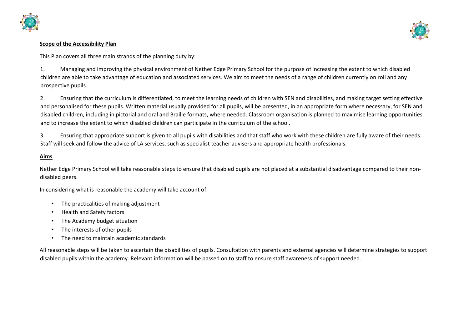



#### **Scope of the Accessibility Plan**

This Plan covers all three main strands of the planning duty by:

1. Managing and improving the physical environment of Nether Edge Primary School for the purpose of increasing the extent to which disabled children are able to take advantage of education and associated services. We aim to meet the needs of a range of children currently on roll and any prospective pupils.

2. Ensuring that the curriculum is differentiated, to meet the learning needs of children with SEN and disabilities, and making target setting effective and personalised for these pupils. Written material usually provided for all pupils, will be presented, in an appropriate form where necessary, for SEN and disabled children, including in pictorial and oral and Braille formats, where needed. Classroom organisation is planned to maximise learning opportunities and to increase the extent to which disabled children can participate in the curriculum of the school.

3. Ensuring that appropriate support is given to all pupils with disabilities and that staff who work with these children are fully aware of their needs. Staff will seek and follow the advice of LA services, such as specialist teacher advisers and appropriate health professionals.

### **Aims**

Nether Edge Primary School will take reasonable steps to ensure that disabled pupils are not placed at a substantial disadvantage compared to their nondisabled peers.

In considering what is reasonable the academy will take account of:

- The practicalities of making adjustment
- Health and Safety factors
- The Academy budget situation
- The interests of other pupils
- The need to maintain academic standards

All reasonable steps will be taken to ascertain the disabilities of pupils. Consultation with parents and external agencies will determine strategies to support disabled pupils within the academy. Relevant information will be passed on to staff to ensure staff awareness of support needed.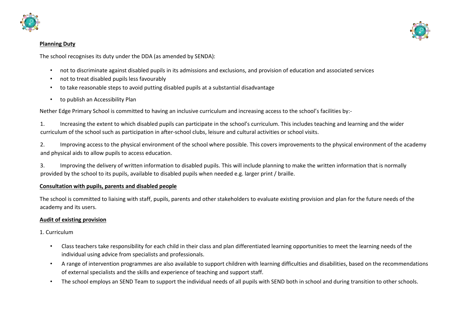

#### **Planning Duty**



The school recognises its duty under the DDA (as amended by SENDA):

- not to discriminate against disabled pupils in its admissions and exclusions, and provision of education and associated services
- not to treat disabled pupils less favourably
- to take reasonable steps to avoid putting disabled pupils at a substantial disadvantage
- to publish an Accessibility Plan

Nether Edge Primary School is committed to having an inclusive curriculum and increasing access to the school's facilities by:-

1. Increasing the extent to which disabled pupils can participate in the school's curriculum. This includes teaching and learning and the wider curriculum of the school such as participation in after-school clubs, leisure and cultural activities or school visits.

2. Improving access to the physical environment of the school where possible. This covers improvements to the physical environment of the academy and physical aids to allow pupils to access education.

3. Improving the delivery of written information to disabled pupils. This will include planning to make the written information that is normally provided by the school to its pupils, available to disabled pupils when needed e.g. larger print / braille.

# **Consultation with pupils, parents and disabled people**

The school is committed to liaising with staff, pupils, parents and other stakeholders to evaluate existing provision and plan for the future needs of the academy and its users.

# **Audit of existing provision**

1. Curriculum

- Class teachers take responsibility for each child in their class and plan differentiated learning opportunities to meet the learning needs of the individual using advice from specialists and professionals.
- A range of intervention programmes are also available to support children with learning difficulties and disabilities, based on the recommendations of external specialists and the skills and experience of teaching and support staff.
- The school employs an SEND Team to support the individual needs of all pupils with SEND both in school and during transition to other schools.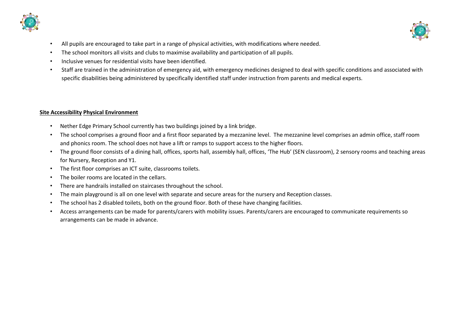



- All pupils are encouraged to take part in a range of physical activities, with modifications where needed.
- The school monitors all visits and clubs to maximise availability and participation of all pupils.
- Inclusive venues for residential visits have been identified.
- Staff are trained in the administration of emergency aid, with emergency medicines designed to deal with specific conditions and associated with specific disabilities being administered by specifically identified staff under instruction from parents and medical experts.

# **Site Accessibility Physical Environment**

- Nether Edge Primary School currently has two buildings joined by a link bridge.
- The school comprises a ground floor and a first floor separated by a mezzanine level. The mezzanine level comprises an admin office, staff room and phonics room. The school does not have a lift or ramps to support access to the higher floors.
- The ground floor consists of a dining hall, offices, sports hall, assembly hall, offices, 'The Hub' (SEN classroom), 2 sensory rooms and teaching areas for Nursery, Reception and Y1.
- The first floor comprises an ICT suite, classrooms toilets.
- The boiler rooms are located in the cellars.
- There are handrails installed on staircases throughout the school.
- The main playground is all on one level with separate and secure areas for the nursery and Reception classes.
- The school has 2 disabled toilets, both on the ground floor. Both of these have changing facilities.
- Access arrangements can be made for parents/carers with mobility issues. Parents/carers are encouraged to communicate requirements so arrangements can be made in advance.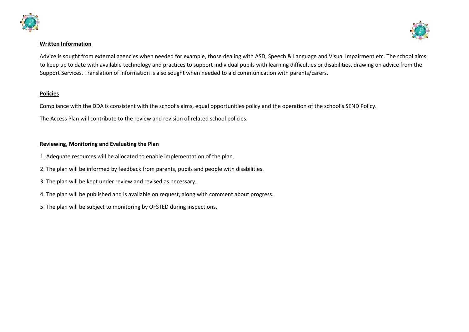



#### **Written Information**

Advice is sought from external agencies when needed for example, those dealing with ASD, Speech & Language and Visual Impairment etc. The school aims to keep up to date with available technology and practices to support individual pupils with learning difficulties or disabilities, drawing on advice from the Support Services. Translation of information is also sought when needed to aid communication with parents/carers.

#### **Policies**

Compliance with the DDA is consistent with the school's aims, equal opportunities policy and the operation of the school's SEND Policy.

The Access Plan will contribute to the review and revision of related school policies.

# **Reviewing, Monitoring and Evaluating the Plan**

- 1. Adequate resources will be allocated to enable implementation of the plan.
- 2. The plan will be informed by feedback from parents, pupils and people with disabilities.
- 3. The plan will be kept under review and revised as necessary.
- 4. The plan will be published and is available on request, along with comment about progress.
- 5. The plan will be subject to monitoring by OFSTED during inspections.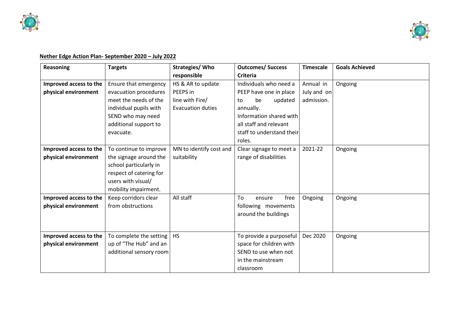



# **Nether Edge Action Plan- September 2020 – July 2022**

| <b>Reasoning</b>       | <b>Targets</b>          | Strategies/ Who          | <b>Outcomes/ Success</b>  | <b>Timescale</b> | <b>Goals Achieved</b> |
|------------------------|-------------------------|--------------------------|---------------------------|------------------|-----------------------|
|                        |                         | responsible              | <b>Criteria</b>           |                  |                       |
| Improved access to the | Ensure that emergency   | HS & AR to update        | Individuals who need a    | Annual in        | Ongoing               |
| physical environment   | evacuation procedures   | PEEPS in                 | PEEP have one in place    | July and on      |                       |
|                        | meet the needs of the   | line with Fire/          | be<br>updated<br>to       | admission.       |                       |
|                        | individual pupils with  | <b>Evacuation duties</b> | annually.                 |                  |                       |
|                        | SEND who may need       |                          | Information shared with   |                  |                       |
|                        | additional support to   |                          | all staff and relevant    |                  |                       |
|                        | evacuate.               |                          | staff to understand their |                  |                       |
|                        |                         |                          | roles.                    |                  |                       |
| Improved access to the | To continue to improve  | MN to identify cost and  | Clear signage to meet a   | 2021-22          | Ongoing               |
| physical environment   | the signage around the  | suitability              | range of disabilities     |                  |                       |
|                        | school particularly in  |                          |                           |                  |                       |
|                        | respect of catering for |                          |                           |                  |                       |
|                        | users with visual/      |                          |                           |                  |                       |
|                        | mobility impairment.    |                          |                           |                  |                       |
| Improved access to the | Keep corridors clear    | All staff                | To<br>free<br>ensure      | Ongoing          | Ongoing               |
| physical environment   | from obstructions       |                          | following movements       |                  |                       |
|                        |                         |                          | around the buildings      |                  |                       |
|                        |                         |                          |                           |                  |                       |
| Improved access to the | To complete the setting | <b>HS</b>                | To provide a purposeful   | Dec 2020         | Ongoing               |
| physical environment   | up of "The Hub" and an  |                          | space for children with   |                  |                       |
|                        | additional sensory room |                          | SEND to use when not      |                  |                       |
|                        |                         |                          | in the mainstream         |                  |                       |
|                        |                         |                          |                           |                  |                       |
|                        |                         |                          | classroom                 |                  |                       |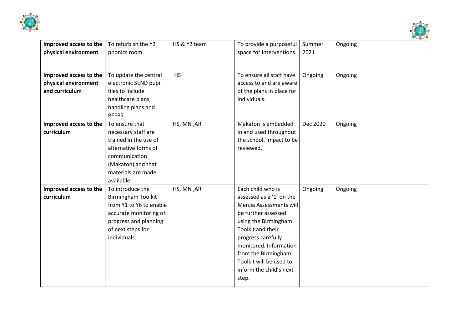



| Improved access to the | To refurbish the Y2          | HS & Y2 team | To provide a purposeful                   | Summer   | Ongoing |
|------------------------|------------------------------|--------------|-------------------------------------------|----------|---------|
| physical environment   | phonics room                 |              | space for interventions                   | 2021     |         |
|                        |                              |              |                                           |          |         |
| Improved access to the | To update the central        | <b>HS</b>    | To ensure all staff have                  | Ongoing  | Ongoing |
| physical environment   | electronic SEND pupil        |              | access to and are aware                   |          |         |
| and curriculum         | files to include             |              |                                           |          |         |
|                        |                              |              | of the plans in place for<br>individuals. |          |         |
|                        | healthcare plans,            |              |                                           |          |         |
|                        | handling plans and<br>PEEPS. |              |                                           |          |         |
|                        | To ensure that               |              |                                           |          |         |
| Improved access to the |                              | HS, MN, AR   | Makaton is embedded                       | Dec 2020 | Ongoing |
| curriculum             | necessary staff are          |              | in and used throughout                    |          |         |
|                        | trained in the use of        |              | the school. Impact to be                  |          |         |
|                        | alternative forms of         |              | reviewed.                                 |          |         |
|                        | communication                |              |                                           |          |         |
|                        | (Makaton) and that           |              |                                           |          |         |
|                        | materials are made           |              |                                           |          |         |
|                        | available.                   |              |                                           |          |         |
| Improved access to the | To introduce the             | HS, MN, AR   | Each child who is                         | Ongoing  | Ongoing |
| curriculum             | <b>Birmingham Toolkit</b>    |              | assessed as a '1' on the                  |          |         |
|                        | from Y1 to Y6 to enable      |              | Mercia Assessments will                   |          |         |
|                        | accurate monitoring of       |              | be further assessed                       |          |         |
|                        | progress and planning        |              | using the Birmingham                      |          |         |
|                        | of next steps for            |              | <b>Toolkit and their</b>                  |          |         |
|                        | individuals.                 |              | progress carefully                        |          |         |
|                        |                              |              | monitored. Information                    |          |         |
|                        |                              |              | from the Birmingham                       |          |         |
|                        |                              |              | Toolkit will be used to                   |          |         |
|                        |                              |              | inform the child's next                   |          |         |
|                        |                              |              | step.                                     |          |         |
|                        |                              |              |                                           |          |         |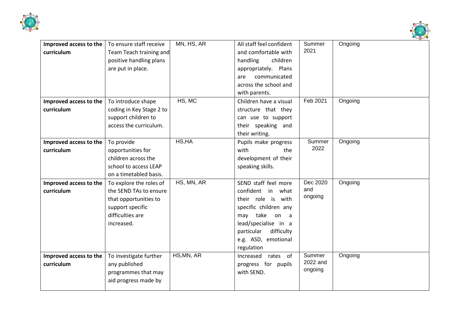



| Improved access to the | To ensure staff receive  | MN, HS, AR | All staff feel confident | Summer   | Ongoing |
|------------------------|--------------------------|------------|--------------------------|----------|---------|
| curriculum             | Team Teach training and  |            | and comfortable with     | 2021     |         |
|                        | positive handling plans  |            | handling<br>children     |          |         |
|                        | are put in place.        |            | appropriately. Plans     |          |         |
|                        |                          |            | communicated<br>are      |          |         |
|                        |                          |            | across the school and    |          |         |
|                        |                          |            | with parents.            |          |         |
| Improved access to the | To introduce shape       | HS, MC     | Children have a visual   | Feb 2021 | Ongoing |
| curriculum             | coding in Key Stage 2 to |            | structure that they      |          |         |
|                        | support children to      |            | can use to support       |          |         |
|                        | access the curriculum.   |            | their speaking and       |          |         |
|                        |                          |            | their writing.           |          |         |
| Improved access to the | To provide               | HS, HA     | Pupils make progress     | Summer   | Ongoing |
| curriculum             | opportunities for        |            | with<br>the              | 2022     |         |
|                        | children across the      |            | development of their     |          |         |
|                        | school to access LEAP    |            | speaking skills.         |          |         |
|                        | on a timetabled basis.   |            |                          |          |         |
| Improved access to the | To explore the roles of  | HS, MN, AR | SEND staff feel more     | Dec 2020 | Ongoing |
| curriculum             | the SEND TAs to ensure   |            | confident in what        | and      |         |
|                        | that opportunities to    |            | their role is with       | ongoing  |         |
|                        | support specific         |            | specific children any    |          |         |
|                        | difficulties are         |            | may take<br>on a         |          |         |
|                        | increased.               |            | lead/specialise in a     |          |         |
|                        |                          |            | difficulty<br>particular |          |         |
|                        |                          |            | e.g. ASD, emotional      |          |         |
|                        |                          |            | regulation               |          |         |
| Improved access to the | To investigate further   | HS, MN, AR | rates of<br>Increased    | Summer   | Ongoing |
| curriculum             | any published            |            | progress for pupils      | 2022 and |         |
|                        | programmes that may      |            | with SEND.               | ongoing  |         |
|                        | aid progress made by     |            |                          |          |         |
|                        |                          |            |                          |          |         |